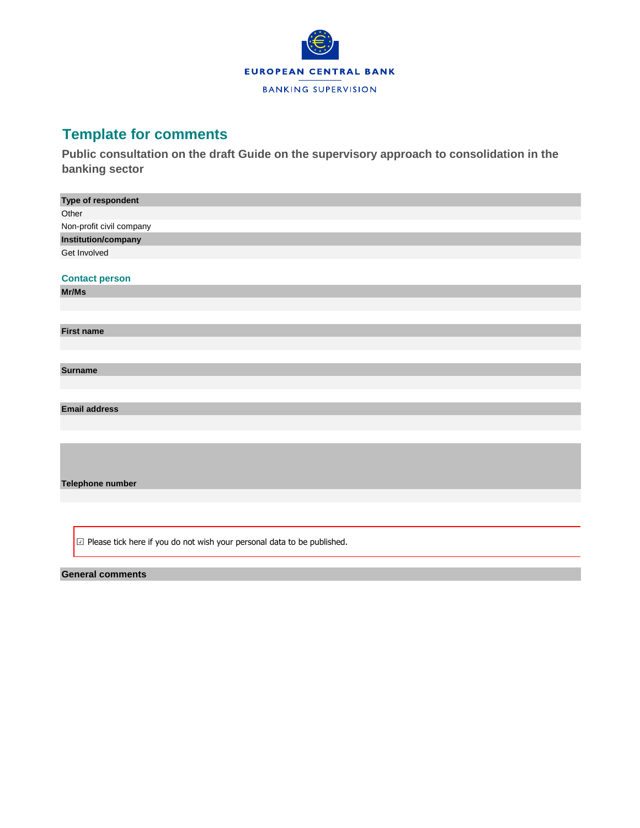

## **Template for comments**

**Public consultation on the draft Guide on the supervisory approach to consolidation in the banking sector**

| Type of respondent                                                                |
|-----------------------------------------------------------------------------------|
| Other                                                                             |
| Non-profit civil company                                                          |
| Institution/company                                                               |
| Get Involved                                                                      |
|                                                                                   |
| <b>Contact person</b>                                                             |
|                                                                                   |
| Mr/Ms                                                                             |
|                                                                                   |
|                                                                                   |
| <b>First name</b>                                                                 |
|                                                                                   |
|                                                                                   |
| <b>Surname</b>                                                                    |
|                                                                                   |
|                                                                                   |
| <b>Email address</b>                                                              |
|                                                                                   |
|                                                                                   |
|                                                                                   |
|                                                                                   |
|                                                                                   |
| Telephone number                                                                  |
|                                                                                   |
|                                                                                   |
|                                                                                   |
|                                                                                   |
| $\boxdot$ Please tick here if you do not wish your personal data to be published. |

## **General comments**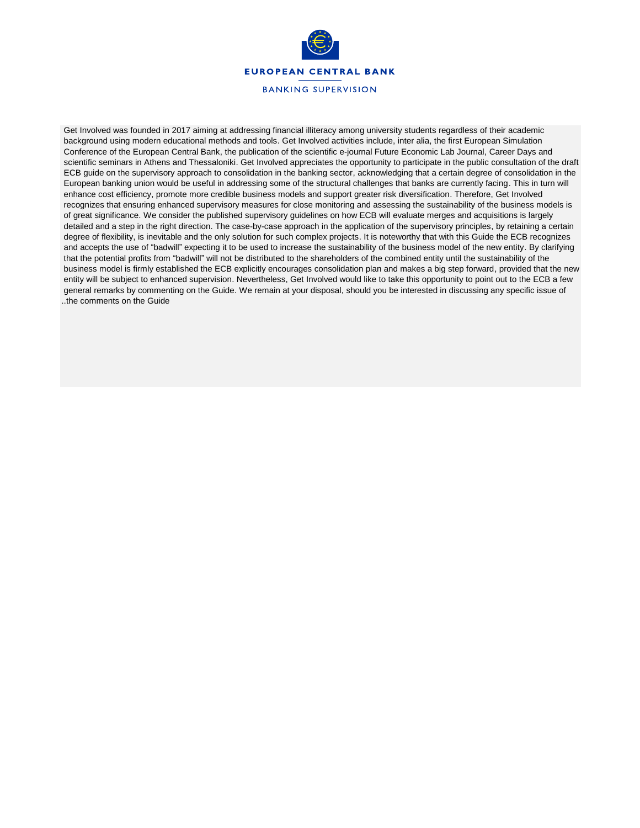

Get Involved was founded in 2017 aiming at addressing financial illiteracy among university students regardless of their academic background using modern educational methods and tools. Get Involved activities include, inter alia, the first European Simulation Conference of the European Central Bank, the publication of the scientific e-journal Future Economic Lab Journal, Career Days and scientific seminars in Athens and Thessaloniki. Get Involved appreciates the opportunity to participate in the public consultation of the draft ECB guide on the supervisory approach to consolidation in the banking sector, acknowledging that a certain degree of consolidation in the European banking union would be useful in addressing some of the structural challenges that banks are currently facing. This in turn will enhance cost efficiency, promote more credible business models and support greater risk diversification. Therefore, Get Involved recognizes that ensuring enhanced supervisory measures for close monitoring and assessing the sustainability of the business models is of great significance. We consider the published supervisory guidelines on how ECB will evaluate merges and acquisitions is largely detailed and a step in the right direction. The case-by-case approach in the application of the supervisory principles, by retaining a certain degree of flexibility, is inevitable and the only solution for such complex projects. It is noteworthy that with this Guide the ECB recognizes and accepts the use of "badwill" expecting it to be used to increase the sustainability of the business model of the new entity. By clarifying that the potential profits from "badwill" will not be distributed to the shareholders of the combined entity until the sustainability of the business model is firmly established the ECB explicitly encourages consolidation plan and makes a big step forward, provided that the new entity will be subject to enhanced supervision. Nevertheless, Get Involved would like to take this opportunity to point out to the ECB a few general remarks by commenting on the Guide. We remain at your disposal, should you be interested in discussing any specific issue of ..the comments on the Guide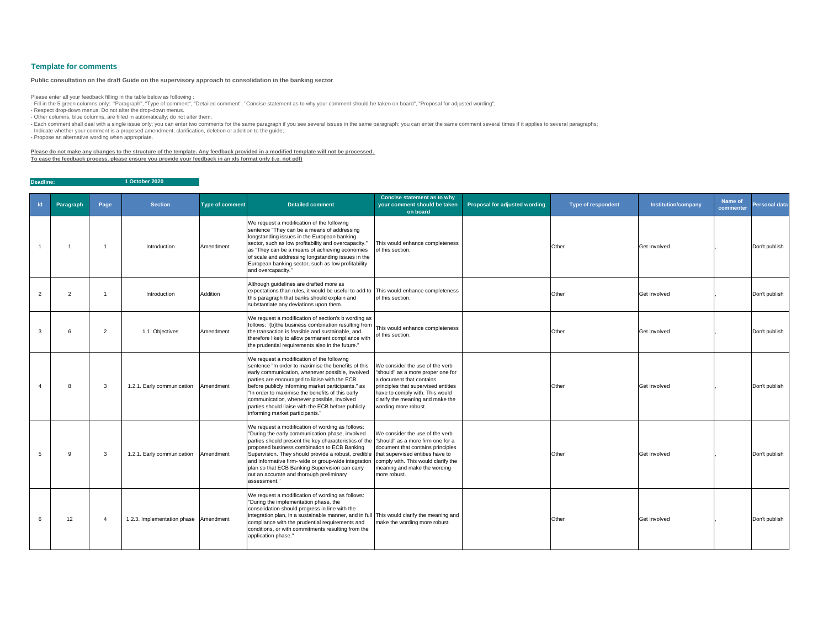| $\mathsf{Id}$         | Paragraph | Page         | <b>Section</b>                        | <b>Type of comment</b> | <b>Detailed comment</b>                                                                                                                                                                                                                                                                                                                                                                                                                                                                                                                           | <b>Concise statement as to why</b><br>your comment should be taken<br>on board                                                                                                                                                         | <b>Proposal for adjusted wording</b> | <b>Type of respondent</b> | <b>Institution/company</b> | <b>Name of</b><br>commenter | <b>Personal data</b> |
|-----------------------|-----------|--------------|---------------------------------------|------------------------|---------------------------------------------------------------------------------------------------------------------------------------------------------------------------------------------------------------------------------------------------------------------------------------------------------------------------------------------------------------------------------------------------------------------------------------------------------------------------------------------------------------------------------------------------|----------------------------------------------------------------------------------------------------------------------------------------------------------------------------------------------------------------------------------------|--------------------------------------|---------------------------|----------------------------|-----------------------------|----------------------|
|                       |           |              | Introduction                          | Amendment              | We request a modification of the following<br>sentence "They can be a means of addressing<br>longstanding issues in the European banking<br>sector, such as low profitability and overcapacity.<br>as "They can be a means of achieving economies<br>of scale and addressing longstanding issues in the<br>European banking sector, such as low profitability<br>and overcapacity."                                                                                                                                                               | This would enhance completeness<br>of this section.                                                                                                                                                                                    |                                      | Other                     | <b>Get Involved</b>        |                             | Don't publish        |
| $\mathbf{2}^{\prime}$ | 2         |              | Introduction                          | Addition               | Although guidelines are drafted more as<br>expectations than rules, it would be useful to add to This would enhance completeness<br>this paragraph that banks should explain and<br>substantiate any deviations upon them.                                                                                                                                                                                                                                                                                                                        | of this section.                                                                                                                                                                                                                       |                                      | Other                     | <b>Get Involved</b>        |                             | Don't publish        |
|                       |           | 2            | 1.1. Objectives                       | Amendment              | We request a modification of section's b wording as<br>follows: "(b)the business combination resulting from<br>the transaction is feasible and sustainable, and<br>therefore likely to allow permanent compliance with<br>the prudential requirements also in the future."                                                                                                                                                                                                                                                                        | This would enhance completeness<br>of this section.                                                                                                                                                                                    |                                      | Other                     | <b>Get Involved</b>        |                             | Don't publish        |
|                       |           | 3            | 1.2.1. Early communication            | Amendment              | We request a modification of the following<br>sentence "In order to maximise the benefits of this<br>early communication, whenever possible, involved<br>parties are encouraged to liaise with the ECB<br>before publicly informing market participants." as<br>In order to maximise the benefits of this early<br>communication, whenever possible, involved<br>parties should liaise with the ECB before publicly<br>informing market participants."                                                                                            | We consider the use of the verb<br>'should" as a more proper one for<br>a document that contains<br>principles that supervised entities<br>have to comply with. This would<br>clarify the meaning and make the<br>wording more robust. |                                      | Other                     | <b>Get Involved</b>        |                             | Don't publish        |
|                       | 9         | $\mathbf{3}$ | 1.2.1. Early communication            | Amendment              | We request a modification of wording as follows:<br>"During the early communication phase, involved<br>parties should present the key characteristics of the  "should" as a more firm one for a<br>proposed business combination to ECB Banking<br>Supervision. They should provide a robust, credible that supervised entities have to<br>and informative firm- wide or group-wide integration comply with. This would clarify the<br>plan so that ECB Banking Supervision can carry<br>out an accurate and thorough preliminary<br>assessment." | We consider the use of the verb<br>document that contains principles<br>meaning and make the wording<br>more robust.                                                                                                                   |                                      | Other                     | <b>Get Involved</b>        |                             | Don't publish        |
|                       | 12        |              | 1.2.3. Implementation phase Amendment |                        | We request a modification of wording as follows:<br>"During the implementation phase, the<br>consolidation should progress in line with the<br>integration plan, in a sustainable manner, and in full This would clarify the meaning and<br>compliance with the prudential requirements and<br>conditions, or with commitments resulting from the<br>application phase."                                                                                                                                                                          | make the wording more robust.                                                                                                                                                                                                          |                                      | Other                     | <b>Get Involved</b>        |                             | Don't publish        |

- Fill in the 5 green columns only: "Paragraph", "Type of comment", "Detailed comment", "Concise statement as to why your comment should be taken on board", "Proposal for adjusted wording"; - Respect drop-down menus. Do not alter the drop-down menus.

**Deadline: 1 October 2020**

## **Template for comments**

Please enter all your feedback filling in the table below as following :

- Other columns, blue columns, are filled in automatically; do not alter them;

- Each comment shall deal with a single issue only; you can enter two comments for the same paragraph if you see several issues in the same paragraph; you can enter the same comment several times if it applies to several p

- Indicate whether your comment is a proposed amendment, clarification, deletion or addition to the guide;

- Propose an alternative wording when appropriate.

**Please do not make any changes to the structure of the template. Any feedback provided in a modified template will not be processed. To ease the feedback process, please ensure you provide your feedback in an xls format only (i.e. not pdf)**

## **Public consultation on the draft Guide on the supervisory approach to consolidation in the banking sector**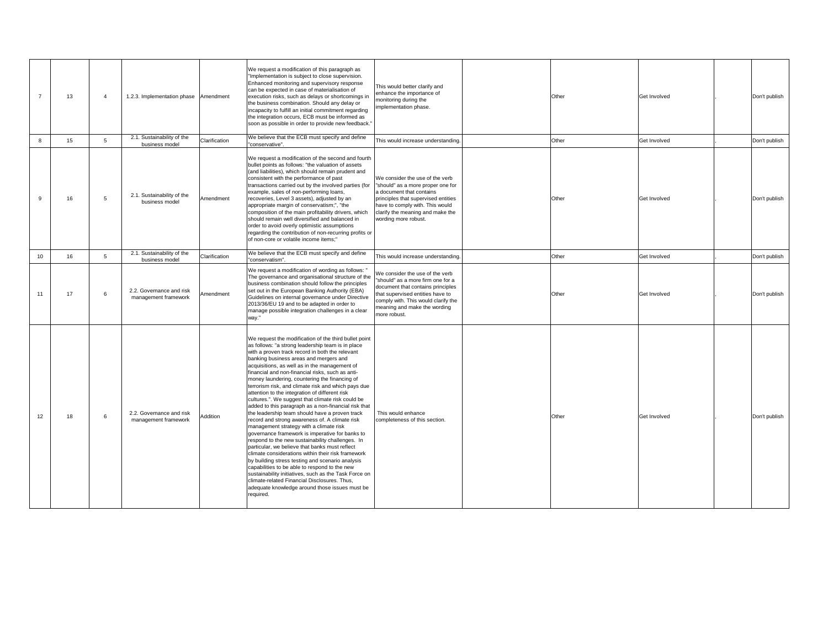|                 | 13              |   | 1.2.3. Implementation phase                      | Amendment     | We request a modification of this paragraph as<br>"Implementation is subject to close supervision.<br>Enhanced monitoring and supervisory response<br>can be expected in case of materialisation of<br>execution risks, such as delays or shortcomings in<br>the business combination. Should any delay or<br>incapacity to fulfill an initial commitment regarding<br>the integration occurs, ECB must be informed as<br>soon as possible in order to provide new feedback."                                                                                                                                                                                                                                                                                                                                                                                                                                                                                                                                                                                                                                                                                                                                                  | This would better clarify and<br>enhance the importance of<br>monitoring during the<br>implementation phase.                                                                                                                           | Other | <b>Get Involved</b> | Don't publish |
|-----------------|-----------------|---|--------------------------------------------------|---------------|--------------------------------------------------------------------------------------------------------------------------------------------------------------------------------------------------------------------------------------------------------------------------------------------------------------------------------------------------------------------------------------------------------------------------------------------------------------------------------------------------------------------------------------------------------------------------------------------------------------------------------------------------------------------------------------------------------------------------------------------------------------------------------------------------------------------------------------------------------------------------------------------------------------------------------------------------------------------------------------------------------------------------------------------------------------------------------------------------------------------------------------------------------------------------------------------------------------------------------|----------------------------------------------------------------------------------------------------------------------------------------------------------------------------------------------------------------------------------------|-------|---------------------|---------------|
|                 | 15 <sub>1</sub> | 5 | 2.1. Sustainability of the<br>business model     | Clarification | We believe that the ECB must specify and define<br>"conservative".                                                                                                                                                                                                                                                                                                                                                                                                                                                                                                                                                                                                                                                                                                                                                                                                                                                                                                                                                                                                                                                                                                                                                             | This would increase understanding.                                                                                                                                                                                                     | Other | <b>Get Involved</b> | Don't publish |
|                 | 16              | 5 | 2.1. Sustainability of the<br>business model     | Amendment     | We request a modification of the second and fourth<br>bullet points as follows: "the valuation of assets<br>(and liabilities), which should remain prudent and<br>consistent with the performance of past<br>transactions carried out by the involved parties (for<br>example, sales of non-performing loans,<br>recoveries, Level 3 assets), adjusted by an<br>appropriate margin of conservatism;", "the<br>composition of the main profitability drivers, which<br>should remain well diversified and balanced in<br>order to avoid overly optimistic assumptions<br>regarding the contribution of non-recurring profits or<br>of non-core or volatile income items;"                                                                                                                                                                                                                                                                                                                                                                                                                                                                                                                                                       | We consider the use of the verb<br>"should" as a more proper one for<br>a document that contains<br>principles that supervised entities<br>have to comply with. This would<br>clarify the meaning and make the<br>wording more robust. | Other | <b>Get Involved</b> | Don't publish |
| 10              | 16              | 5 | 2.1. Sustainability of the<br>business model     | Clarification | We believe that the ECB must specify and define<br>"conservatism"                                                                                                                                                                                                                                                                                                                                                                                                                                                                                                                                                                                                                                                                                                                                                                                                                                                                                                                                                                                                                                                                                                                                                              | This would increase understanding.                                                                                                                                                                                                     | Other | <b>Get Involved</b> | Don't publish |
| 11              | 17              | 6 | 2.2. Governance and risk<br>management framework | Amendment     | We request a modification of wording as follows: "<br>The governance and organisational structure of the<br>business combination should follow the principles<br>set out in the European Banking Authority (EBA)<br>Guidelines on internal governance under Directive<br>2013/36/EU 19 and to be adapted in order to<br>manage possible integration challenges in a clear<br>way."                                                                                                                                                                                                                                                                                                                                                                                                                                                                                                                                                                                                                                                                                                                                                                                                                                             | We consider the use of the verb<br>"should" as a more firm one for a<br>document that contains principles<br>that supervised entities have to<br>comply with. This would clarify the<br>meaning and make the wording<br>more robust.   | Other | <b>Get Involved</b> | Don't publish |
| 12 <sup>°</sup> | 18              | 6 | 2.2. Governance and risk<br>management framework | Addition      | We request the modification of the third bullet point<br>as follows: "a strong leadership team is in place<br>with a proven track record in both the relevant<br>banking business areas and mergers and<br>acquisitions, as well as in the management of<br>financial and non-financial risks, such as anti-<br>money laundering, countering the financing of<br>terrorism risk, and climate risk and which pays due<br>attention to the integration of different risk<br>cultures.". We suggest that climate risk could be<br>added to this paragraph as a non-financial risk that<br>the leadership team should have a proven track<br>record and strong awareness of. A climate risk<br>management strategy with a climate risk<br>governance framework is imperative for banks to<br>respond to the new sustainability challenges. In<br>particular, we believe that banks must reflect<br>climate considerations within their risk framework<br>by building stress testing and scenario analysis<br>capabilities to be able to respond to the new<br>sustainability initiatives, such as the Task Force on<br>climate-related Financial Disclosures. Thus,<br>adequate knowledge around those issues must be<br>required. | This would enhance<br>completeness of this section.                                                                                                                                                                                    | Other | <b>Get Involved</b> | Don't publish |